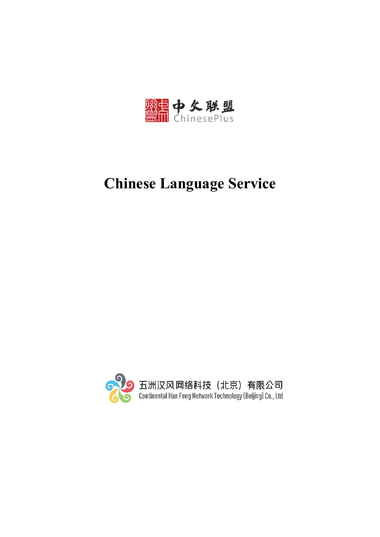

# **Chinese Language Service**

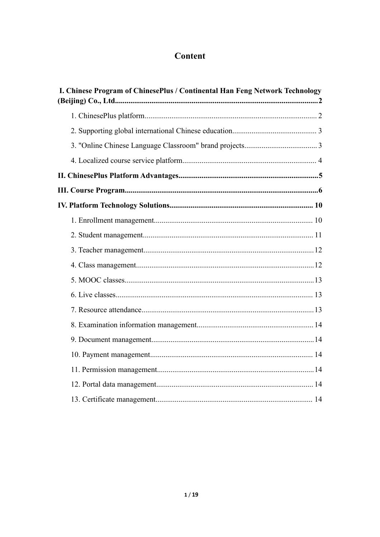# Content

| I. Chinese Program of ChinesePlus / Continental Han Feng Network Technology |  |
|-----------------------------------------------------------------------------|--|
|                                                                             |  |
|                                                                             |  |
|                                                                             |  |
|                                                                             |  |
|                                                                             |  |
|                                                                             |  |
|                                                                             |  |
|                                                                             |  |
|                                                                             |  |
|                                                                             |  |
|                                                                             |  |
|                                                                             |  |
|                                                                             |  |
|                                                                             |  |
|                                                                             |  |
|                                                                             |  |
|                                                                             |  |
|                                                                             |  |
|                                                                             |  |
|                                                                             |  |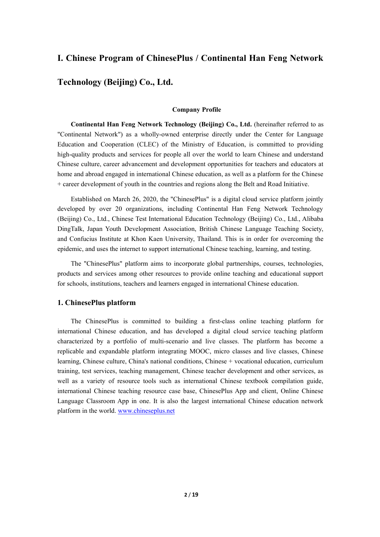### <span id="page-2-0"></span>**I. Chinese Program of ChinesePlus / Continental Han Feng Network**

# **Technology (Beijing) Co., Ltd.**

### **Company Profile**

**Continental Han Feng Network Technology (Beijing) Co., Ltd.** (hereinafter referred to as "Continental Network") as a wholly-owned enterprise directly under the Center for Language Education and Cooperation (CLEC) of the Ministry of Education, is committed to providing high-quality products and services for people all over the world to learn Chinese and understand Chinese culture, career advancement and development opportunities for teachers and educators at home and abroad engaged in international Chinese education, as well as a platform for the Chinese + career development of youth in the countries and regions along the Belt and Road Initiative.

Established on March 26, 2020, the "ChinesePlus" is a digital cloud service platform jointly developed by over 20 organizations, including Continental Han Feng Network Technology (Beijing) Co., Ltd., Chinese Test International Education Technology (Beijing) Co., Ltd., Alibaba DingTalk, Japan Youth Development Association, British Chinese Language Teaching Society, and Confucius Institute at Khon Kaen University, Thailand. This is in order for overcoming the epidemic, and uses the internet to support international Chinese teaching, learning, and testing.

The "ChinesePlus" platform aims to incorporate global partnerships, courses, technologies, products and services among other resources to provide online teaching and educational support for schools, institutions, teachers and learners engaged in international Chinese education.

### <span id="page-2-1"></span>**1. ChinesePlus platform**

The ChinesePlus is committed to building a first-class online teaching platform for international Chinese education, and has developed a digital cloud service teaching platform characterized by a portfolio of multi-scenario and live classes.The platform has become a replicable and expandable platform integrating MOOC, micro classes and live classes, Chinese learning, Chinese culture, China's national conditions, Chinese + vocational education, curriculum training, test services, teaching management, Chinese teacher development and other services, as well as a variety of resource tools such as international Chinese textbook compilation guide, international Chinese teaching resource case base, ChinesePlus App and client, Online Chinese Language Classroom App in one. It is also the largest international Chinese education network platform in the world. [www.chineseplus.net](http://www.chineseplus.net)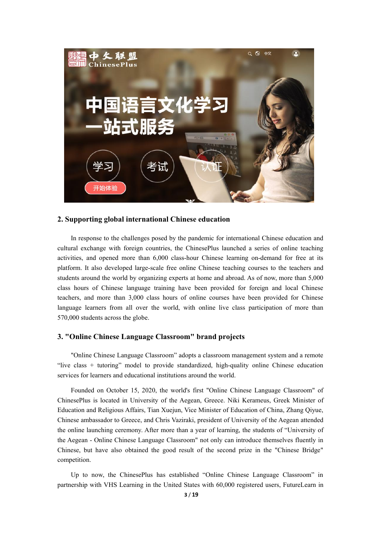

### <span id="page-3-0"></span>**2. Supporting global international Chinese education**

In response to the challenges posed by the pandemic for international Chinese education and cultural exchange with foreign countries, the ChinesePlus launched a series of online teaching activities, and opened more than 6,000 class-hour Chinese learning on-demand for free at its platform. It also developed large-scale free online Chinese teaching courses to the teachers and students around the world by organizing experts athome and abroad. As of now, more than 5,000 class hours of Chinese language training have been provided for foreign and local Chinese teachers, and more than 3,000 class hours of online courses have been provided for Chinese language learners from all over the world, with online live class participation of more than 570,000 students across the globe.

### <span id="page-3-1"></span>**3. "Online Chinese Language Classroom" brand projects**

"Online Chinese Language Classroom" adopts a classroom management system and a remote "live class + tutoring" model to provide standardized, high-quality online Chinese education services for learners and educational institutions around the world.

Founded on October 15, 2020, the world's first "Online Chinese Language Classroom" of ChinesePlus is located in University of the Aegean,Greece. Niki Kerameus, Greek Minister of Education and Religious Affairs, Tian Xuejun, Vice Minister of Education of China, Zhang Qiyue, Chinese ambassador to Greece, and Chris Vaziraki, president of University of the Aegean attended the online launching ceremony. After more than a year of learning, the students of "University of the Aegean - Online Chinese Language Classroom" not only can introduce themselves fluently in Chinese, but have also obtained the good result of the second prize in the "Chinese Bridge" competition.

Up to now, the ChinesePlus has established "Online Chinese Language Classroom" in partnership with VHS Learning in the United States with 60,000 registered users, FutureLearn in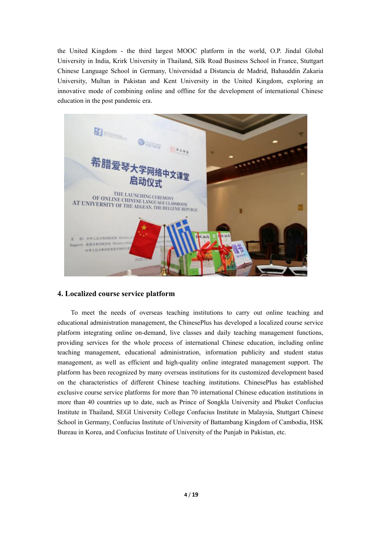the United Kingdom - the third largest MOOC platform in the world, O.P. Jindal Global University in India, Krirk University in Thailand, Silk Road Business School in France, Stuttgart Chinese Language School in Germany, Universidad a Distancia de Madrid, Bahauddin Zakaria University, Multan in Pakistan and Kent University in the United Kingdom, exploring an innovative mode of combining online and offline for the development of international Chinese education in the post pandemic era.



### <span id="page-4-0"></span>**4. Localized course service platform**

To meet the needs of overseas teaching institutions to carry out online teaching and educational administration management, the ChinesePlus has developed a localized course service platform integrating online on-demand, live classes and daily teaching management functions, providing services for the whole process of international Chinese education, including online teaching management, educational administration, information publicity and student status management, as well as efficient and high-quality online integrated management support. The platform has been recognized by many overseas institutions for its customized development based on the characteristics of different Chinese teaching institutions. ChinesePlus has established exclusive course service platforms for more than 70 international Chinese education institutions in more than 40 countries up to date, such as Prince of Songkla University and Phuket Confucius Institute in Thailand, SEGI University College Confucius Institute in Malaysia, Stuttgart Chinese School in Germany, Confucius Institute of University of Battambang Kingdom of Cambodia, HSK Bureau in Korea, and Confucius Institute of University of the Punjab in Pakistan, etc.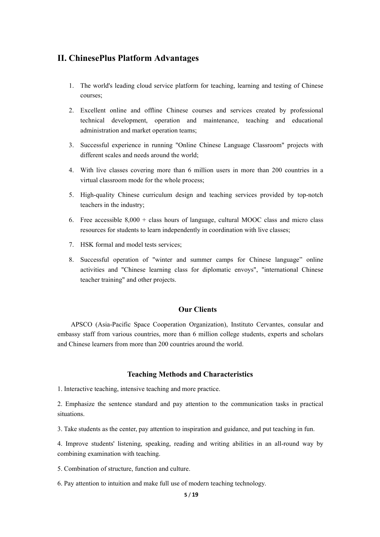### <span id="page-5-0"></span>**II. ChinesePlus Platform Advantages**

- 1. The world's leading cloud service platform for teaching, learning and testing of Chinese courses;
- 2. Excellent online and offline Chinese courses and services created by professional technical development, operation and maintenance, teaching and educational administration and market operation teams;
- 3. Successful experience in running "Online Chinese Language Classroom" projects with different scales and needs around the world;
- 4. With live classes covering more than 6 million users in more than 200 countries in a virtual classroom mode for the whole process;
- 5. High-quality Chinese curriculum design and teaching services provided by top-notch teachers in the industry;
- 6. Free accessible  $8,000 +$  class hours of language, cultural MOOC class and micro class resources for students to learn independently in coordination with live classes;
- 7. HSK formal and model tests services;
- 8. Successful operation of "winter and summer camps for Chinese language" online activities and "Chinese learning class for diplomatic envoys", "international Chinese teacher training" and other projects.

### **Our Clients**

APSCO (Asia-Pacific Space Cooperation Organization), Instituto Cervantes, consular and embassy staff from various countries, more than 6 million college students, experts and scholars and Chinese learners from more than 200 countries around the world.

### **Teaching Methods and Characteristics**

1. Interactive teaching, intensive teaching and more practice.<br>2. Emphasize the sentence standard and pay attention to the communication tasks in practical situations.

3. Take students as the center, pay attention to inspiration and guidance, and put teaching in fun.

4. Improve students' listening, speaking, reading and writing abilities in an all-round way by combining examination with teaching.

5. Combination of structure, function and culture.

6. Pay attention to intuition and make full use of modern teaching technology.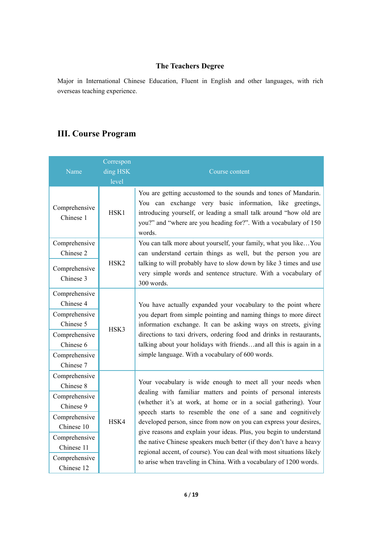## **The Teachers Degree**

Major in International Chinese Education, Fluent in English and other languages, with rich overseas teaching experience.

# <span id="page-6-0"></span>**III. Course Program**

| Name                        | Correspon<br>ding HSK<br>level | Course content                                                                                                                                                                                                                                                                 |
|-----------------------------|--------------------------------|--------------------------------------------------------------------------------------------------------------------------------------------------------------------------------------------------------------------------------------------------------------------------------|
| Comprehensive<br>Chinese 1  | HSK1                           | You are getting accustomed to the sounds and tones of Mandarin.<br>You can exchange very basic information, like greetings,<br>introducing yourself, or leading a small talk around "how old are<br>you?" and "where are you heading for?". With a vocabulary of 150<br>words. |
| Comprehensive<br>Chinese 2  | HSK <sub>2</sub>               | You can talk more about yourself, your family, what you like You<br>can understand certain things as well, but the person you are<br>talking to will probably have to slow down by like 3 times and use                                                                        |
| Comprehensive<br>Chinese 3  |                                | very simple words and sentence structure. With a vocabulary of<br>300 words.                                                                                                                                                                                                   |
| Comprehensive<br>Chinese 4  |                                | You have actually expanded your vocabulary to the point where                                                                                                                                                                                                                  |
| Comprehensive<br>Chinese 5  | HSK3                           | you depart from simple pointing and naming things to more direct<br>information exchange. It can be asking ways on streets, giving                                                                                                                                             |
| Comprehensive<br>Chinese 6  |                                | directions to taxi drivers, ordering food and drinks in restaurants,<br>talking about your holidays with friendsand all this is again in a                                                                                                                                     |
| Comprehensive<br>Chinese 7  |                                | simple language. With a vocabulary of 600 words.                                                                                                                                                                                                                               |
| Comprehensive<br>Chinese 8  |                                | Your vocabulary is wide enough to meet all your needs when                                                                                                                                                                                                                     |
| Comprehensive<br>Chinese 9  |                                | dealing with familiar matters and points of personal interests<br>(whether it's at work, at home or in a social gathering). Your                                                                                                                                               |
| Comprehensive<br>Chinese 10 | HSK4                           | speech starts to resemble the one of a sane and cognitively<br>developed person, since from now on you can express your desires,                                                                                                                                               |
| Comprehensive<br>Chinese 11 |                                | give reasons and explain your ideas. Plus, you begin to understand<br>the native Chinese speakers much better (if they don't have a heavy<br>regional accent, of course). You can deal with most situations likely                                                             |
| Comprehensive<br>Chinese 12 |                                | to arise when traveling in China. With a vocabulary of 1200 words.                                                                                                                                                                                                             |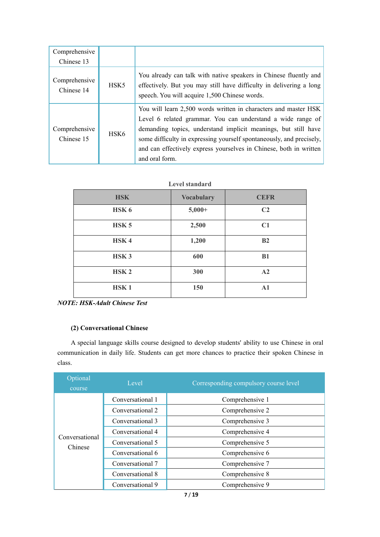| Comprehensive               |                  |                                                                                                                                                                                                                                                                                                                                                                  |
|-----------------------------|------------------|------------------------------------------------------------------------------------------------------------------------------------------------------------------------------------------------------------------------------------------------------------------------------------------------------------------------------------------------------------------|
| Chinese 13                  |                  |                                                                                                                                                                                                                                                                                                                                                                  |
| Comprehensive<br>Chinese 14 | HSK <sub>5</sub> | You already can talk with native speakers in Chinese fluently and<br>effectively. But you may still have difficulty in delivering a long<br>speech. You will acquire 1,500 Chinese words.                                                                                                                                                                        |
| Comprehensive<br>Chinese 15 | HSK <sub>6</sub> | You will learn 2,500 words written in characters and master HSK<br>Level 6 related grammar. You can understand a wide range of<br>demanding topics, understand implicit meanings, but still have<br>some difficulty in expressing yourself spontaneously, and precisely,<br>and can effectively express yourselves in Chinese, both in written<br>and oral form. |

### **Level standard**

| <b>HSK</b>       | <b>Vocabulary</b> | <b>CEFR</b>    |
|------------------|-------------------|----------------|
| HSK <sub>6</sub> | $5,000+$          | C <sub>2</sub> |
| HSK <sub>5</sub> | 2,500             | C1             |
| HSK4             | 1,200             | B2             |
| HSK <sub>3</sub> | 600               | <b>B1</b>      |
| HSK <sub>2</sub> | 300               | A2             |
| HSK <sub>1</sub> | 150               | A1             |

*NOTE: HSK-Adult Chinese Test*

### **(2) Conversational Chinese**

A special language skills course designed to develop students' ability to use Chinese in oral communication in daily life. Students can get more chances to practice their spoken Chinese in class.

| Optional<br>course        | Level            | Corresponding compulsory course level |
|---------------------------|------------------|---------------------------------------|
|                           | Conversational 1 | Comprehensive 1                       |
|                           | Conversational 2 | Comprehensive 2                       |
|                           | Conversational 3 | Comprehensive 3                       |
|                           | Conversational 4 | Comprehensive 4                       |
| Conversational<br>Chinese | Conversational 5 | Comprehensive 5                       |
|                           | Conversational 6 | Comprehensive 6                       |
|                           | Conversational 7 | Comprehensive 7                       |
|                           | Conversational 8 | Comprehensive 8                       |
|                           | Conversational 9 | Comprehensive 9                       |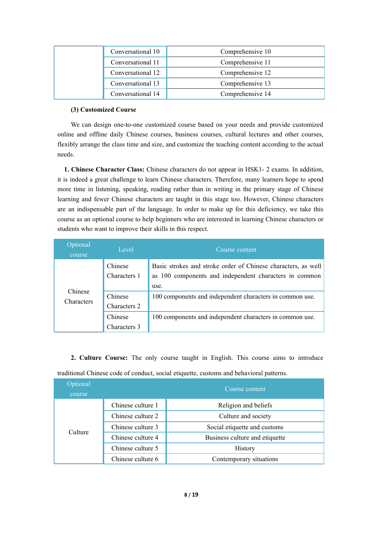| Conversational 10 | Comprehensive 10 |
|-------------------|------------------|
| Conversational 11 | Comprehensive 11 |
| Conversational 12 | Comprehensive 12 |
| Conversational 13 | Comprehensive 13 |
| Conversational 14 | Comprehensive 14 |

### **(3) Customized Course**

We can design one-to-one customized course based on your needs and provide customized online and offline daily Chinese courses, business courses, cultural lectures and other courses, flexibly arrange the class time and size, and customize the teaching content according to the actual needs.

**1. Chinese Character Class:** Chinese characters do not appear in HSK1- 2 exams. In addition, it is indeed a great challenge to learn Chinese characters. Therefore, many learners hope to spend more time in listening, speaking, reading rather than in writing in the primary stage of Chinese learning and fewer Chinese characters are taught in this stage too. However, Chinese characters are an indispensable part of the language. In order to make up for this deficiency, we take this course as an optional course to help beginners who are interested in learning Chinese characters or students who want to improve their skills in this respect.

| Optional<br>course    | Level                   | Course content                                                                                                                  |
|-----------------------|-------------------------|---------------------------------------------------------------------------------------------------------------------------------|
|                       | Chinese<br>Characters 1 | Basic strokes and stroke order of Chinese characters, as well<br>as 100 components and independent characters in common<br>use. |
| Chinese<br>Characters | Chinese<br>Characters 2 | 100 components and independent characters in common use.                                                                        |
|                       | Chinese<br>Characters 3 | 100 components and independent characters in common use.                                                                        |

**2. Culture Course:** The only course taught in English. This course aims to introduce traditional Chinese code of conduct, social etiquette, customs and behavioral patterns.

| Optional<br>course | Course content                                    |                                |  |  |  |
|--------------------|---------------------------------------------------|--------------------------------|--|--|--|
| Culture            | Chinese culture 1                                 | Religion and beliefs           |  |  |  |
|                    | Chinese culture 2<br>Culture and society          |                                |  |  |  |
|                    | Chinese culture 3<br>Social etiquette and customs |                                |  |  |  |
|                    | Chinese culture 4                                 | Business culture and etiquette |  |  |  |
|                    | Chinese culture 5                                 | History                        |  |  |  |
|                    | Chinese culture 6                                 | Contemporary situations        |  |  |  |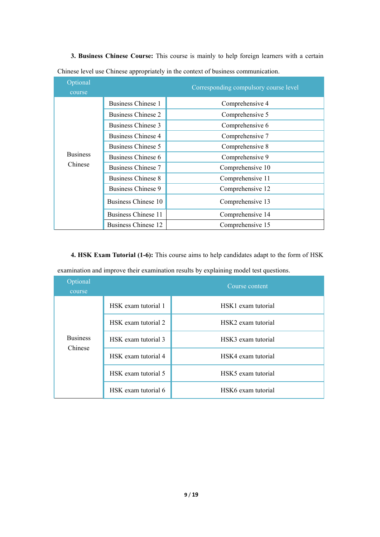| Optional<br>course |                           | Corresponding compulsory course level |
|--------------------|---------------------------|---------------------------------------|
|                    | Business Chinese 1        | Comprehensive 4                       |
|                    | <b>Business Chinese 2</b> | Comprehensive 5                       |
|                    | Business Chinese 3        | Comprehensive 6                       |
|                    | Business Chinese 4        | Comprehensive 7                       |
|                    | Business Chinese 5        | Comprehensive 8                       |
| <b>Business</b>    | Business Chinese 6        | Comprehensive 9                       |
| Chinese            | Business Chinese 7        | Comprehensive 10                      |
|                    | Business Chinese 8        | Comprehensive 11                      |
|                    | Business Chinese 9        | Comprehensive 12                      |
|                    | Business Chinese 10       | Comprehensive 13                      |
|                    | Business Chinese 11       | Comprehensive 14                      |
|                    | Business Chinese 12       | Comprehensive 15                      |

**3. Business Chinese Course:** This course ismainly to help foreign learners with a certain Chinese level use Chinese appropriately in the context of business communication.

**4. HSK Exam Tutorial (1-6):** Thiscourse aims to help candidates adapt to the form of HSK

examination and improve their examination results by explaining model test questions.

| Optional<br>course         |                     | Course content     |
|----------------------------|---------------------|--------------------|
|                            | HSK exam tutorial 1 | HSK1 exam tutorial |
|                            | HSK exam tutorial 2 | HSK2 exam tutorial |
| <b>Business</b><br>Chinese | HSK exam tutorial 3 | HSK3 exam tutorial |
|                            | HSK exam tutorial 4 | HSK4 exam tutorial |
|                            | HSK exam tutorial 5 | HSK5 exam tutorial |
|                            | HSK exam tutorial 6 | HSK6 exam tutorial |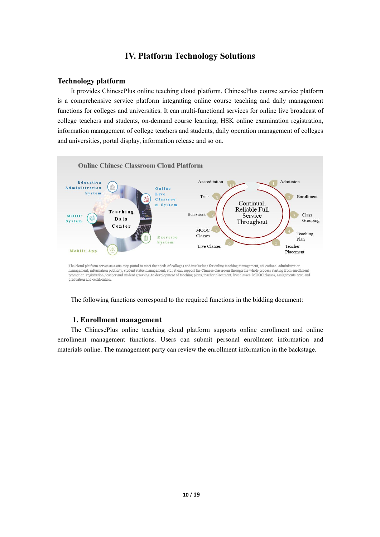## <span id="page-10-0"></span>**IV. Platform Technology Solutions**

### **Technology platform**

It provides ChinesePlus online teaching cloud platform. ChinesePlus course service platform is a comprehensive service platform integrating online course teaching and daily management functions for colleges and universities. It can multi-functional services for online live broadcast of college teachers and students, on-demand course learning, HSK online examination registration, information management of college teachers and students, daily operation management of colleges and universities, portal display, information release and so on.



The cloud platform serves as a one-stop portal to meet the needs of colleges and institutions for online teaching management, educational administration management, information publicity, student status management, toc.; i promotion, registration, teacher and student grouping, to development of teaching plans, teacher placement, live classes, MOOC classes, assignments, test, and eraduation and certification

The following functions correspond to the required functions in the bidding document:

### <span id="page-10-1"></span>**1. Enrollment management**

The ChinesePlus online teaching cloud platform supports online enrollment and online enrollment management functions. Users can submit personal enrollment information and materials online. The management party can review the enrollment information in the backstage.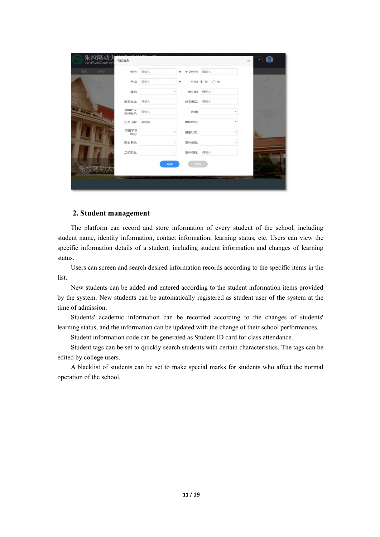| 朱拉隆功<br>สถาบันขงจือแห่งจพ | 孔院报名          |     |                                   |            | $\times$ | ۳.  |
|---------------------------|---------------|-----|-----------------------------------|------------|----------|-----|
| 课程<br>首页                  | 姓名:           | 请输入 | $\star$<br>中文姓名:                  | 请输入        |          |     |
|                           | 手机:           | 请输入 | *                                 | 性别: ◉ 男 ○女 |          |     |
|                           | 母语:           |     | 出生地:<br>۰                         | 请输入        |          |     |
|                           | 联系地址:         | 请输入 | 住宅电话:                             | 请输入        |          |     |
| <b>All Annual Adv</b>     | 常用社交<br>软件账户: | 请输入 | 国籍:                               | ٠          |          |     |
| <b>Ap</b>                 | 出生日期:         | 请选择 | 婚姻状况:                             | ٠          |          |     |
|                           | 汉语学习<br>时间:   |     | 健康状态:<br>$\overline{\phantom{a}}$ | ٠          |          | SS. |
|                           | 职业名称:         |     | 证件类型:<br>$\scriptstyle\rm v$      | ٠          |          |     |
|                           | 二级职业:         |     | 证件号码:<br>$\scriptstyle\rm v$      | 请输入        |          |     |
| 朱拉隆功大                     |               | 确定  | 取消                                |            |          |     |
|                           |               |     |                                   |            |          |     |

### <span id="page-11-0"></span>**2. Student management**

The platform can record and store information of every student of the school, including student name, identity information, contact information, learning status, etc. Users can view the specific information details of a student, including student information and changes of learning status.<br>Users can screen and search desired information records according to the specific items in the

list.

New students can be added and entered according to the student information items provided by the system. New students can be automatically registered as student user of the system at the time of admission.

Students' academic information can be recorded according to the changes of students' learning status, and the information can be updated with the change of their school performances.

Student information code can be generated as Student ID card for class attendance.

Student tags can be set to quickly search students with certain characteristics. The tags can be edited by college users.

A blacklist of students can be set to make special marks for students who affect the normal operation of the school.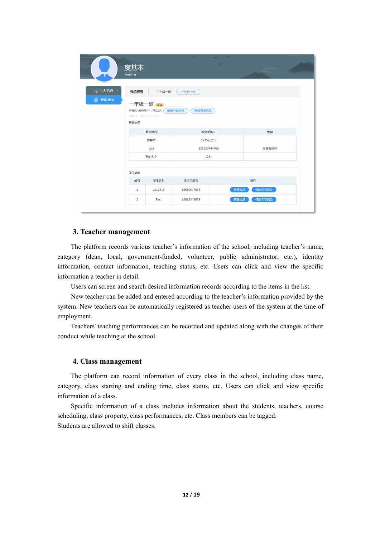|          | 度基本<br><b>Teacher</b>                              |          | ÷                | $\tilde{\phantom{a}}$<br>$\overline{\phantom{a}}$ | $\sqrt{2}$ |  |
|----------|----------------------------------------------------|----------|------------------|---------------------------------------------------|------------|--|
| & 个人信息 × | 我的班级                                               | 三年级一班    | 一年级一班            |                                                   |            |  |
| 圖 我的班级   | 本班级共有教师3人, 学生2人<br>2018-11-05 - 2018-12-15<br>班级信息 | 一年级一班 赢。 | 班级缴费信息<br>班级考勤信息 |                                                   |            |  |
|          |                                                    | 教师姓名     | 教师手机号            |                                                   | 级别         |  |
|          |                                                    | 度基本      | 123525235        |                                                   |            |  |
|          |                                                    | test     | 135222444466     |                                                   | 志愿者教师      |  |
|          |                                                    | 我的名字     | 1231             |                                                   |            |  |
|          | 学生信息                                               |          |                  |                                                   |            |  |
|          | 编号                                                 | 学生姓名     | 学生手机号            |                                                   | 操作         |  |
|          | $\mathbf{1}$                                       | aa12319  | 18610647666      | 查看成绩                                              | 修改学习记录     |  |
|          | $\overline{2}$                                     | First    | 13012345678      | 查看成绩                                              | 修改学习记录     |  |
|          |                                                    |          |                  |                                                   |            |  |

#### <span id="page-12-0"></span>**3. Teacher management**

The platform records various teacher's information of the school, including teacher's name, category (dean, local, government-funded, volunteer, public administrator, etc.), identity information, contact information, teaching status, etc. Users can click and view the specific information a teacher in detail.

Users can screen and search desired information records according to the items in the list.

New teacher can be added and entered according to the teacher's information provided by the system. New teachers can be automatically registered as teacher users of the system at the time of employment.

Teachers' teaching performances can be recorded and updated along with the changes of their conduct while teaching at the school.

### <span id="page-12-1"></span>**4. Class management**

The platform can record information of every class in the school, including class name, category, class starting and ending time, class status, etc. Users can click and view specific information of a class.

Specific information of a class includes information about the students, teachers, course scheduling, class property, class performances, etc. Class members can be tagged. Students are allowed to shift classes.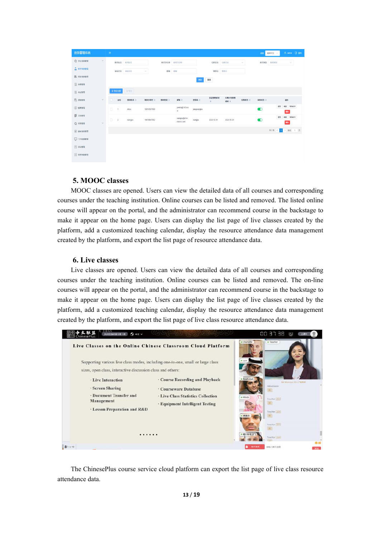| 教务管理系统              |        | $\equiv$ |              |           |               |        |                                     |                             |                  |               |        | 语言<br>简体中文 v        | A admin B @#L           |
|---------------------|--------|----------|--------------|-----------|---------------|--------|-------------------------------------|-----------------------------|------------------|---------------|--------|---------------------|-------------------------|
| ☆ 学生信息管理            | $\vee$ |          |              | 教师姓名 教师姓名 |               |        | 教师手机号 教师手机号                         |                             | 任教状态 任教状态        |               | $\sim$ | 数师美别 胶质类别           | $\sim$                  |
| <b>Q KNGBER</b>     |        |          | 宙板状态         | 雷格状态      | $\mathcal{L}$ |        | 邮箱 邮箱                               |                             | 登录名 登录名          |               |        |                     |                         |
| <b>IB</b> MARBER    |        |          |              |           |               |        |                                     | 查询                          | 重置               |               |        |                     |                         |
| <b>B</b> 排環管理       |        |          |              |           |               |        |                                     |                             |                  |               |        |                     |                         |
| $B$ with $B$        |        | $+90.98$ |              | $+90$     |               |        |                                     |                             |                  |               |        |                     |                         |
| B ませま理              | v.     |          | 南号           | 数段数名 ≑    | 相修手机号 ☆       | 校師美別 ≑ | 邮箱÷                                 | 登录名 ≑                       | 签证到期时间<br>$\div$ | 任期计划到期<br>时间÷ | 任教状态 ÷ | 审核状态 ÷              | 操作                      |
| $()$ water          |        | 8        | $\mathbf{1}$ | Alice     | 18915357890   |        | jcestij@163.co<br>$^{\prime\prime}$ | jiangxianghe                |                  |               |        | $\bullet$           | <b>查看 调报 移转的</b><br>989 |
| <b>目 文指管理</b>       |        | $\Box$   | $\sqrt{2}$   | wangpu    | 18610647662   |        | wangpu@chin                         | <b>CONTRACTOR</b><br>wangpu | 2020-12-31       | 2020-10-01    |        | $\sim$<br>$\bullet$ | es sient<br>표표          |
| ☆ 6用管理              | $\vee$ |          |              |           |               |        | esecio.com                          |                             |                  |               |        |                     | <b>BR</b>               |
| $\circledR$ Muneway |        |          |              |           |               |        |                                     |                             |                  |               |        |                     | 共2条 < 1 > 前往 1 页        |
| <b>Q</b> OPREER     |        |          |              |           |               |        |                                     |                             |                  |               |        |                     |                         |
| $\Box$ Xatt         |        |          |              |           |               |        |                                     |                             |                  |               |        |                     |                         |
| $\Box$ intentity    |        |          |              |           |               |        |                                     |                             |                  |               |        |                     |                         |
|                     |        |          |              |           |               |        |                                     |                             |                  |               |        |                     |                         |

### <span id="page-13-0"></span>**5. MOOC classes**

MOOC classes are opened. Users can view the detailed data of all courses and corresponding courses under the teaching institution. Online courses can be listed and removed. The listed online course will appear on the portal, and the administrator can recommend course in the backstage to make it appear on the home page. Users can display the list page of live classes created by the platform, add a customized teaching calendar, display the resource attendance data management created by the platform, and export the list page of resource attendance data.

### <span id="page-13-1"></span>**6. Live classes**

Live classes are opened. Users can view the detailed data of all courses and corresponding courses under the teaching institution. Online courses can be listed and removed. The on-line courses will appear on the portal, and the administrator can recommend course in the backstage to make it appear on the home page. Users can display the list page of live classes created by the platform, add a customized teaching calendar, display the resource attendance data management created by the platform, and export the list page of live class resource attendance data.



<span id="page-13-2"></span>The ChinesePlus course service cloud platform can export the list page of live class resource attendance data.